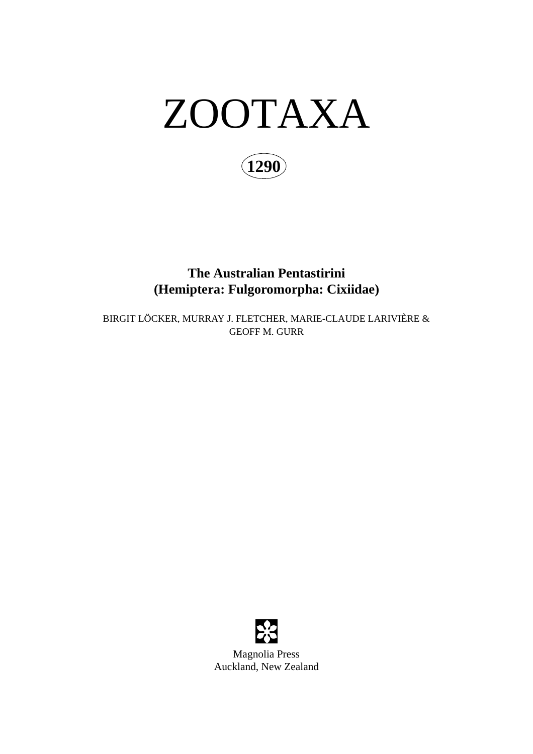

**1290**

# **The Australian Pentastirini (Hemiptera: Fulgoromorpha: Cixiidae)**

BIRGIT LÖCKER, MURRAY J. FLETCHER, MARIE-CLAUDE LARIVIÈRE & GEOFF M. GURR



Magnolia Press Auckland, New Zealand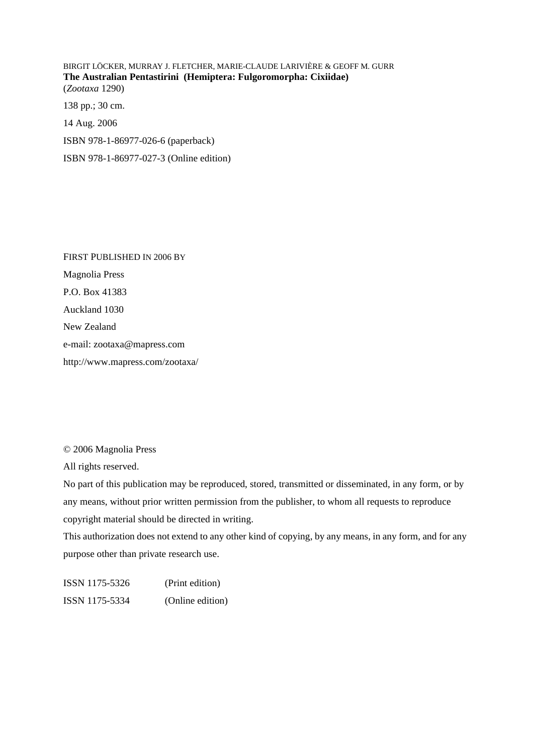BIRGIT LÖCKER, MURRAY J. FLETCHER, MARIE-CLAUDE LARIVIÈRE & GEOFF M. GURR **The Australian Pentastirini (Hemiptera: Fulgoromorpha: Cixiidae)** (*Zootaxa* 1290) 138 pp.; 30 cm. 14 Aug. 2006 ISBN 978-1-86977-026-6 (paperback) ISBN 978-1-86977-027-3 (Online edition)

FIRST PUBLISHED IN 2006 BY Magnolia Press P.O. Box 41383 Auckland 1030 New Zealand e-mail: zootaxa@mapress.com http://www.mapress.com/zootaxa/

© 2006 Magnolia Press

All rights reserved.

No part of this publication may be reproduced, stored, transmitted or disseminated, in any form, or by any means, without prior written permission from the publisher, to whom all requests to reproduce copyright material should be directed in writing.

This authorization does not extend to any other kind of copying, by any means, in any form, and for any purpose other than private research use.

ISSN 1175-5326 (Print edition) ISSN 1175-5334 (Online edition)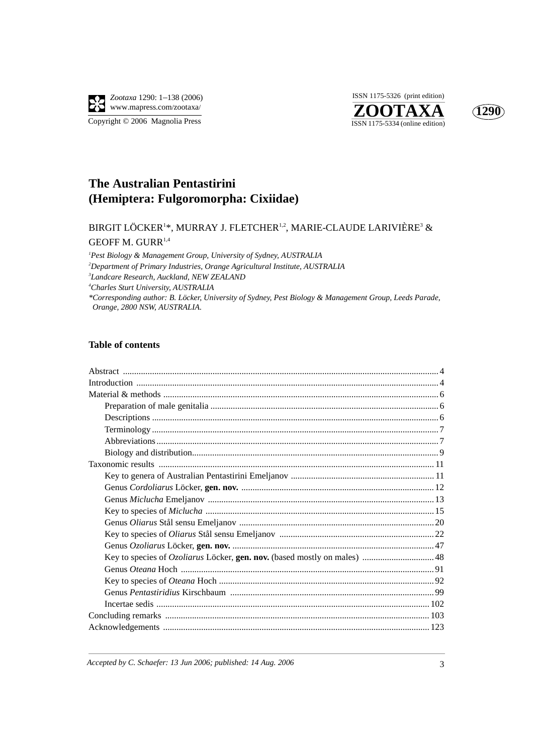

**ZOOTAXA**<br>ISSN 1175-5334 (online edition) ISSN 1175-5326 (print edition)



## **The Australian Pentastirini (Hemiptera: Fulgoromorpha: Cixiidae)**

### BIRGIT LÖCKER $^{1*}$ , MURRAY J. FLETCHER $^{1,2}$ , MARIE-CLAUDE LARIVIÈRE $^{3}$  & GEOFF M. GURR<sup>1,4</sup>

 *Pest Biology & Management Group, University of Sydney, AUSTRALIA Department of Primary Industries, Orange Agricultural Institute, AUSTRALIA Landcare Research, Auckland, NEW ZEALAND Charles Sturt University, AUSTRALIA \*Corresponding author: B. Löcker, University of Sydney, Pest Biology & Management Group, Leeds Parade, Orange, 2800 NSW, AUSTRALIA.* 

#### **Table of contents**

*Accepted by C. Schaefer: 13 Jun 2006; published: 14 Aug. 2006* 3